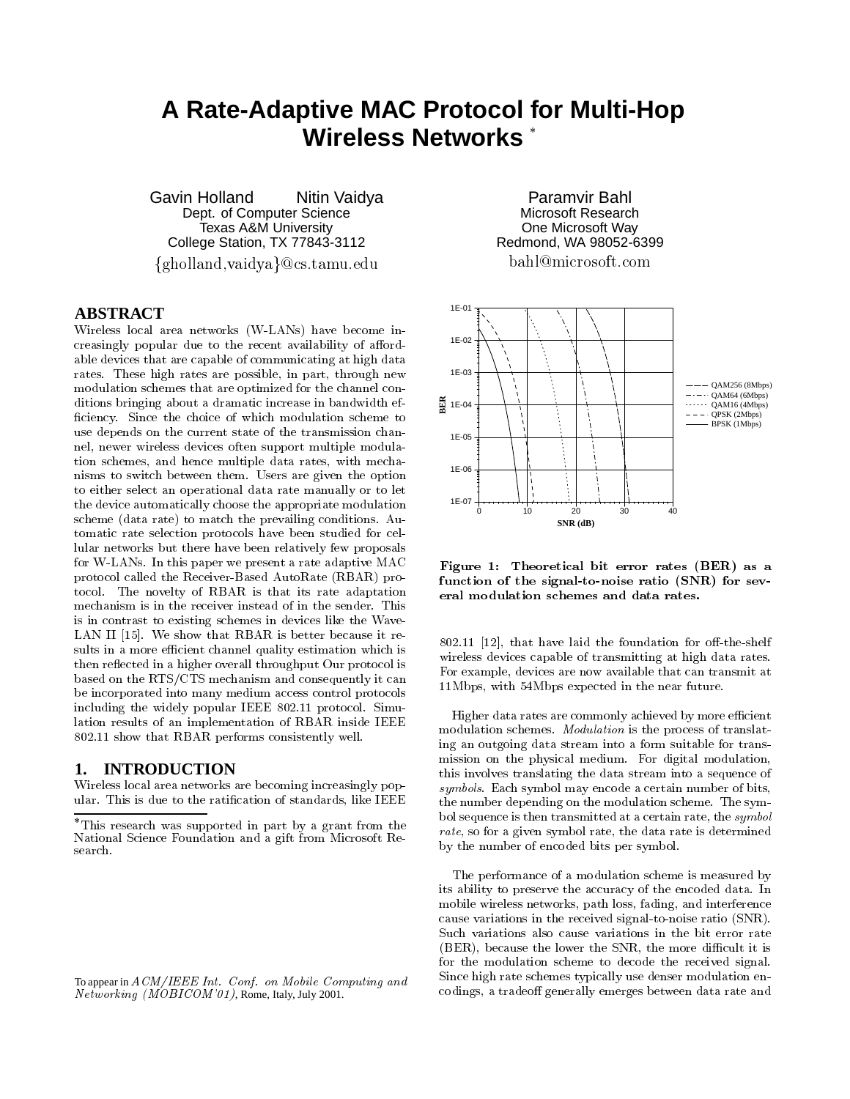# **A Rate-Adaptive MAC Protocol for Multi-Hop Wireless Networks**

Gavin Holland Nitin Vaidya Dept. of Computer Science Texas A&M University College Station, TX 77843-3112

{gholland,vaidya}@cs.tamu.edu

# **ABSTRACT**

Wireless local area networks (W-LANs) have become in creasingly popular due to the recent availability of affordable devices that are capable of communicating at high data rates. These high rates are possible, in part, through new modulation schemes that are optimized for the channel con ditions bringing about a dramatic increase in bandwidth ef ficiency. Since the choice of which modulation scheme to use depends on the current state of the transmission chan nel, newer wireless devices often support multiple modulation schemes, and hence multiple data rates, with mechanisms to switch between them. Users are given the option to either select an operational data rate manually or to let the device automatically choose the appropriate modulation scheme (data rate) to match the prevailing conditions. Au tomatic rate selection protocols have been studied for cellular networks but there have been relatively few proposals for W-LANs. In this paper we present a rate adaptive MAC protocol called the Receiver-Based AutoRate (RBAR) protocol. The novelty of RBAR is that its rate adaptation mechanism is in the receiver instead of in the sender. This is in contrast to existing schemes in devices like the Wave- LAN II [15]. We show that RBAR is better because it re sults in a more efficient channel quality estimation which is then reflected in a higher overall throughput Our protocol is based on the RTS/CTS mechanism and consequently it can be incorporated into many medium access control protocols including the widely popular IEEE 802.11 protocol. Simulation results of an implementation of RBAR inside IEEE 802.11 show that RBAR performs consistently well.

## **1. INTRODUCTION**

Wireless local area networks are becoming increasingly pop ular. This is due to the ratication of standards, like IEEE

To appear in ACM/IEEE Int. Conf. on Mobile Computing and Networking (MOBICOM'01), Rome, Italy, July 2001.

Paramvir Bahl Microsoft Research One Microsoft Way Redmond, WA 98052-6399

bahl@microsoft.com



Figure 1: Theoretical bit error rates (BER) as a function of the signal-to-noise ratio (SNR) for sev eral modulation schemes and data rates.

802.11 [12], that have laid the foundation for off-the-shelf wireless devices capable of transmitting at high data rates. For example, devices are now available that can transmit at 11Mbps, with 54Mbps expected in the near future.

Higher data rates are commonly achieved by more efficient modulation schemes. Modulation is the process of translating an outgoing data stream into a form suitable for trans mission on the physical medium. For digital modulation, this involves translating the data stream into a sequence of symbols. Each symbol may encode a certain number of bits, the number depending on the modulation scheme. The sym bol sequence is then transmitted at a certain rate, the symbol rate, so for a given symbol rate, the data rate is determined by the number of encoded bits per symbol.

The performance of a modulation scheme is measured by its ability to preserve the accuracy of the encoded data. In mobile wireless networks, path loss, fading, and interference cause variations in the received signal-to-noise ratio (SNR). Such variations also cause variations in the bit error rate  $(BER)$ , because the lower the SNR, the more difficult it is for the modulation scheme to decode the received signal. Since high rate schemes typically use denser modulation encodings, a tradeoff generally emerges between data rate and

This research was supported in part by a grant from the National Science Foundation and a gift from Microsoft Re-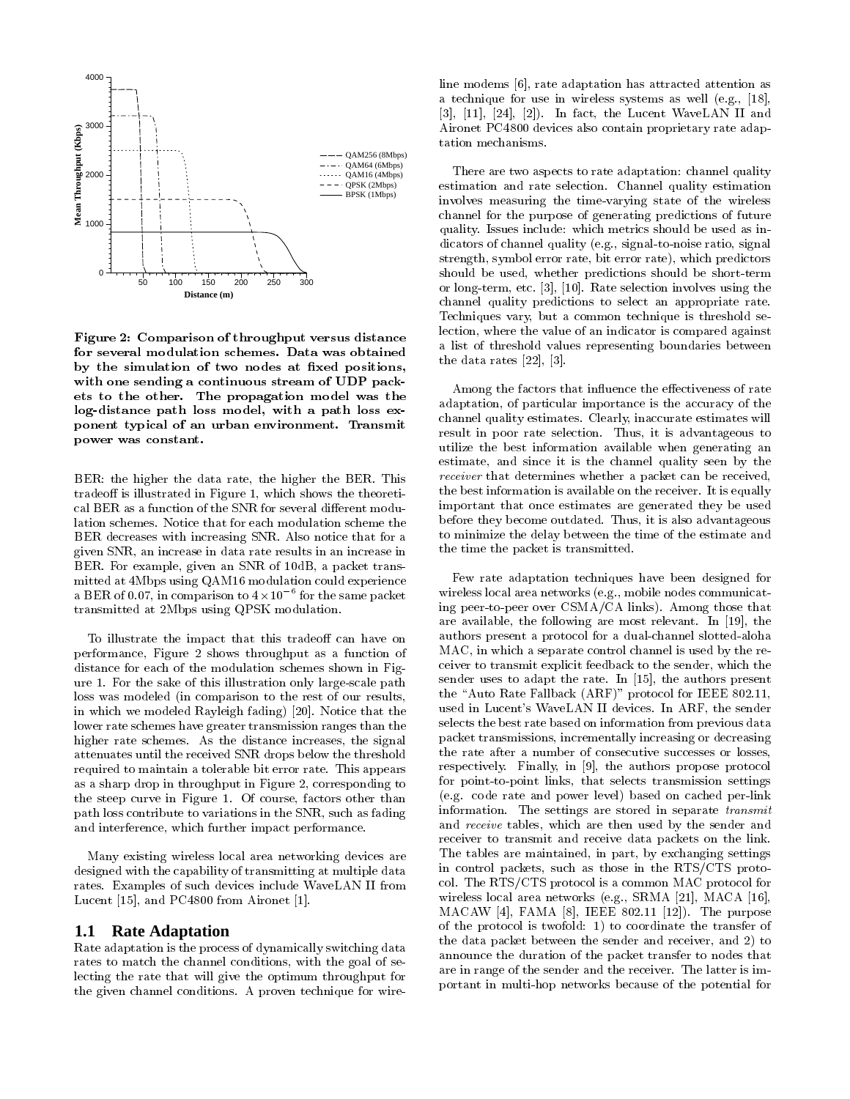

Figure 2: Comparison of throughput versus distance for several modulation schemes. Data was obtained by the simulation of two nodes at fixed positions, with one sending a continuous stream of UDP pack ets to the other. The propagation model was the log-distance path loss model, with a path loss ex ponent typical of an urban environment. Transmit power was constant.

BER: the higher the data rate, the higher the BER. This tradeoff is illustrated in Figure 1, which shows the theoretical BER as a function of the SNR for several different modulation schemes. Notice that for each modulation scheme the BER decreases with increasing SNR. Also notice that for a given SNR, an increase in data rate results in an increase in BER. For example, given an SNR of 10dB, a packet trans mitted at 4Mbps using QAM16 modulation could experience a BER of  $0.07$ , in comparison to  $4\times10^{-8}$  for the same packet  $\hskip1.6cm$ transmitted at 2Mbps using QPSK modulation.

To illustrate the impact that this tradeoff can have on performance, Figure 2 shows throughput as a function of distance for each of the modulation schemes shown in Figure 1. For the sake of this illustration only large-scale path loss was modeled (in comparison to the rest of our results, in which we modeled Rayleigh fading) [20]. Notice that the lower rate schemes have greater transmission ranges than the higher rate schemes. As the distance increases, the signal attenuates until the received SNR drops below the threshold required to maintain a tolerable bit error rate. This appears as a sharp drop in throughput in Figure 2, corresponding to the steep curve in Figure 1. Of course, factors other than path loss contribute to variations in the SNR, such as fading and interference, which further impact performance.

Many existing wireless local area networking devices are designed with the capability of transmitting at multiple data rates. Examples of such devices include WaveLAN II from Lucent [15], and PC4800 from Aironet [1].

#### **1.1 Rate Adaptation**

Rate adaptation is the process of dynamically switching data rates to match the channel conditions, with the goal of selecting the rate that will give the optimum throughput for the given channel conditions. A proven technique for wireline modems [6], rate adaptation has attracted attention as a technique for use in wireless systems as well (e.g., [18], [3], [11], [24], [2]). In fact, the Lucent WaveLAN II and Aironet PC4800 devices also contain proprietary rate adaptation mechanisms.

There are two aspects to rate adaptation: channel quality estimation and rate selection. Channel quality estimation involves measuring the time-varying state of the wireless channel for the purpose of generating predictions of future quality. Issues include: which metrics should be used as indicators of channel quality (e.g., signal-to-noise ratio, signal strength, symbol error rate, bit error rate), which predictors should be used, whether predictions should be short-term or long-term, etc. [3], [10]. Rate selection involves using the channel quality predictions to select an appropriate rate. Techniques vary, but a common technique is threshold selection, where the value of an indicator is compared against a list of threshold values representing boundaries between the data rates [22], [3].

Among the factors that influence the effectiveness of rate adaptation, of particular importance is the accuracy of the channel quality estimates. Clearly, inaccurate estimates will result in poor rate selection. Thus, it is advantageous to utilize the best information available when generating an estimate, and since it is the channel quality seen by the receiver that determines whether a packet can be received, the best information is available on the receiver. It is equally important that once estimates are generated they be used before they become outdated. Thus, it is also advantageous to minimize the delay between the time of the estimate and the time the packet is transmitted.

Few rate adaptation techniques have been designed for wireless local area networks (e.g., mobile nodes communicating peer-to-peer over CSMA/CA links). Among those that are available, the following are most relevant. In [19], the authors present a protocol for a dual-channel slotted-aloha MAC, in which a separate control channel is used by the receiver to transmit explicit feedback to the sender, which the sender uses to adapt the rate. In [15], the authors present the "Auto Rate Fallback (ARF)" protocol for IEEE 802.11, used in Lucent's WaveLAN II devices. In ARF, the sender selects the best rate based on information from previous data packet transmissions, incrementally increasing or decreasing the rate after a number of consecutive successes or losses, respectively. Finally, in [9], the authors propose protocol for point-to-point links, that selects transmission settings (e.g. code rate and power level) based on cached per-link information. The settings are stored in separate transmit and receive tables, which are then used by the sender and receiver to transmit and receive data packets on the link. The tables are maintained, in part, by exchanging settings in control packets, such as those in the RTS/CTS protocol. The RTS/CTS protocol is a common MAC protocol for wireless local area networks (e.g., SRMA [21], MACA [16], MACAW  $[4]$ , FAMA  $[8]$ , IEEE 802.11  $[12]$ ). The purpose of the protocol is twofold: 1) to coordinate the transfer of the data packet between the sender and receiver, and 2) to announce the duration of the packet transfer to nodes that are in range of the sender and the receiver. The latter is im portant in multi-hop networks because of the potential for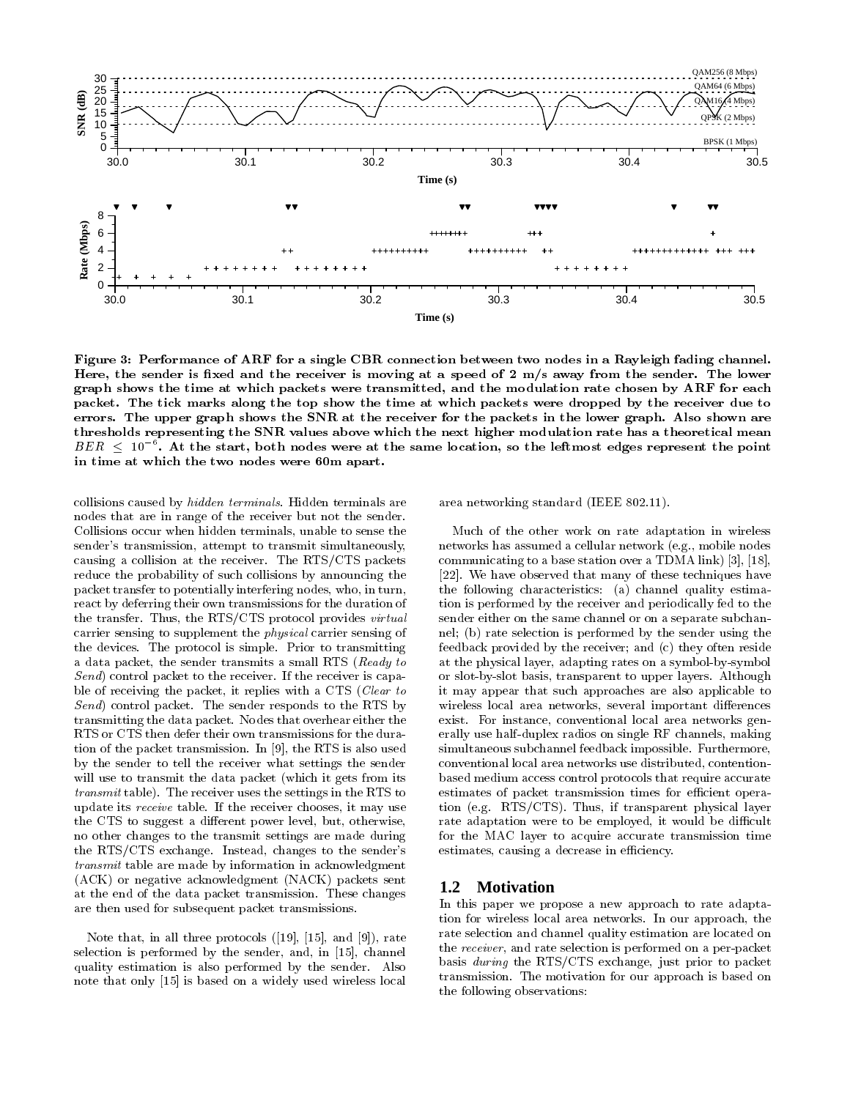

Figure 3: Performance of ARF for a single CBR connection between two nodes in a Rayleigh fading channel. Here, the sender is fixed and the receiver is moving at a speed of  $2 \text{ m/s}$  away from the sender. The lower graph shows the time at which packets were transmitted, and the modulation rate chosen by ARF for each packet. The tick marks along the top show the time at which packets were dropped by the receiver due to errors. The upper graph shows the SNR at the receiver for the packets in the lower graph. Also shown are thresholds representing the SNR values above which the next higher modulation rate has a theoretical mean  $BLR$   $\leq$  10  $\degree$ . At the start, both nodes were at the same location, so the leftmost edges represent the point in time at which the two nodes were 60m apart.

collisions caused by hidden terminals. Hidden terminals are nodes that are in range of the receiver but not the sender. Collisions occur when hidden terminals, unable to sense the sender's transmission, attempt to transmit simultaneously, causing a collision at the receiver. The RTS/CTS packets reduce the probability of such collisions by announcing the packet transfer to potentially interfering nodes, who, in turn, react by deferring their own transmissions for the duration of the transfer. Thus, the RTS/CTS protocol provides virtual carrier sensing to supplement the physical carrier sensing of the devices. The protocol is simple. Prior to transmitting a data packet, the sender transmits a small RTS (Ready to Send) control packet to the receiver. If the receiver is capable of receiving the packet, it replies with a CTS (Clear to Send) control packet. The sender responds to the RTS by transmitting the data packet. Nodes that overhear either the RTS or CTS then defer their own transmissions for the duration of the packet transmission. In [9], the RTS is also used by the sender to tell the receiver what settings the sender will use to transmit the data packet (which it gets from its transmit table). The receiver uses the settings in the RTS to update its receive table. If the receiver chooses, it may use the CTS to suggest a different power level, but, otherwise, no other changes to the transmit settings are made during the RTS/CTS exchange. Instead, changes to the sender's transmit table are made by information in acknowledgment  $(ACK)$  or negative acknowledgment  $(NACK)$  packets sent  $\overline{1.2}$ at the end of the data packet transmission. These changes are then used for subsequent packet transmissions.

Note that, in all three protocols ([19], [15], and [9]), rate selection is performed by the sender, and, in [15], channel quality estimation is also performed by the sender. Also note that only [15] is based on a widely used wireless local

area networking standard (IEEE 802.11).

Much of the other work on rate adaptation in wireless networks has assumed a cellular network (e.g., mobile nodes communicating to a base station over a TDMA link) [3], [18], [22]. We have observed that many of these techniques have the following characteristics: (a) channel quality estima tion is performed by the receiver and periodically fed to the sender either on the same channel or on a separate subchannel; (b) rate selection is performed by the sender using the feedback provided by the receiver; and (c) they often reside at the physical layer, adapting rates on a symbol-by-symbol or slot-by-slot basis, transparent to upper layers. Although it may appear that such approaches are also applicable to wireless local area networks, several important differences exist. For instance, conventional local area networks generally use half-duplex radios on single RF channels, making simultaneous subchannel feedback impossible. Furthermore, conventional local area networks use distributed, contentionbased medium access control protocols that require accurate estimates of packet transmission times for efficient operation (e.g. RTS/CTS). Thus, if transparent physical layer rate adaptation were to be employed, it would be difficult for the MAC layer to acquire accurate transmission time estimates, causing a decrease in efficiency.

## **1.2 Motivation**

In this paper we propose a new approach to rate adaptation for wireless local area networks. In our approach, the rate selection and channel quality estimation are located on the receiver, and rate selection is performed on a per-packet basis during the RTS/CTS exchange, just prior to packet transmission. The motivation for our approach is based on the following observations: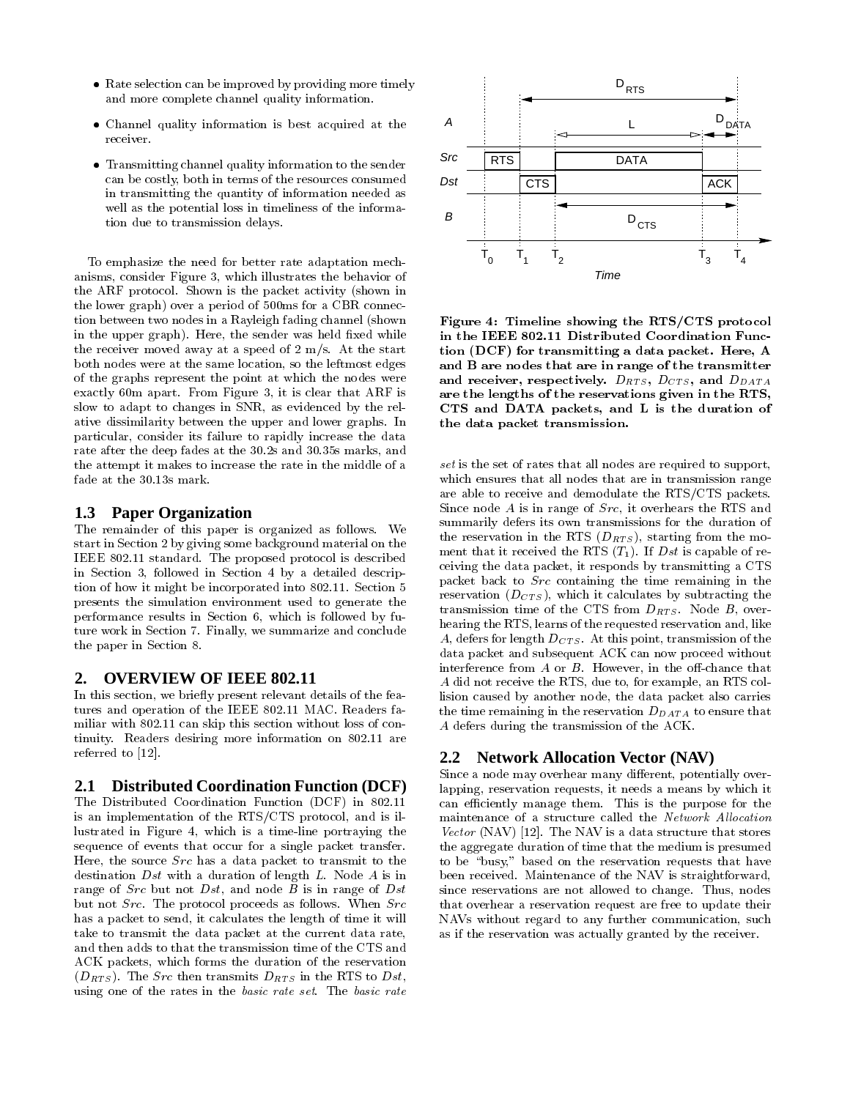- Rate selection can be improved by providing more timely and more complete channel quality information.
- Channel quality information is best acquired at the receiver.
- Transmitting channel quality information to the sender can be costly, both in terms of the resources consumed in transmitting the quantity of information needed as well as the potential loss in timeliness of the informa tion due to transmission delays.

To emphasize the need for better rate adaptation mech anisms, consider Figure 3, which illustrates the behavior of the ARF protocol. Shown is the packet activity (shown in the lower graph) over a period of 500ms for a CBR connec tion between two nodes in a Rayleigh fading channel (shown in the upper graph). Here, the sender was held fixed while the receiver moved away at a speed of 2 m/s. At the start both nodes were at the same location, so the leftmost edges of the graphs represent the point at which the nodes were exactly 60m apart. From Figure 3, it is clear that ARF is slow to adapt to changes in SNR, as evidenced by the relative dissimilarity between the upper and lower graphs. In particular, consider its failure to rapidly increase the data rate after the deep fades at the 30.2s and 30.35s marks, and the attempt it makes to increase the rate in the middle of a fade at the 30.13s mark.

## **1.3 Paper Organization**

The remainder of this paper is organized as follows. We start in Section 2 by giving some background material on the IEEE 802.11 standard. The proposed protocol is described in Section 3, followed in Section 4 by a detailed descrip tion of how it might be incorporated into 802.11. Section 5 presents the simulation environment used to generate the performance results in Section 6, which is followed by fu ture work in Section 7. Finally, we summarize and conclude the paper in Section 8.

## **2. OVERVIEW OF IEEE 802.11**

In this section, we briefly present relevant details of the features and operation of the IEEE 802.11 MAC. Readers fa miliar with 802.11 can skip this section without loss of con tinuity. Readers desiring more information on 802.11 are referred to [12].

#### **2.1 Distributed Coordination Function (DCF)**

The Distributed Coordination Function (DCF) in 802.11 is an implementation of the RTS/CTS protocol, and is illustrated in Figure 4, which is a time-line portraying the sequence of events that occur for a single packet transfer. Here, the source Src has a data packet to transmit to the destination  $Dst$  with a duration of length L. Node A is in range of  $Src$  but not  $Dst$ , and node B is in range of  $Dst$ but not Src. The protocol proceeds as follows. When Src has a packet to send, it calculates the length of time it will take to transmit the data packet at the current data rate, and then adds to that the transmission time of the CTS and ACK packets, which forms the duration of the reservation  $(D_{RTS})$ . The *Src* then transmits  $D_{RTS}$  in the RTS to Dst, using one of the rates in the basic rate set. The basic rate



Figure 4: Timeline showing the RTS/CTS protocol in the IEEE 802.11 Distributed Coordination Func tion (DCF) for transmitting a data packet. Here, A and B are nodes that are in range of the transmitter and receiver, respectively.  $D_{RTS}$ ,  $D_{CTS}$ , and  $D_{DATA}$ are the lengths of the reservations given in the RTS, CTS and DATA packets, and L is the duration of the data packet transmission.

set is the set of rates that all nodes are required to support, which ensures that all nodes that are in transmission range are able to receive and demodulate the RTS/CTS packets. Since node A is in range of Src, it overhears the RTS and summarily defers its own transmissions for the duration of the reservation in the RTS  $(D_{RTS})$ , starting from the moment that it received the RTS  $(T_1)$ . If Dst is capable of receiving the data packet, it responds by transmitting a CTS packet back to Src containing the time remaining in the reservation  $(D_{CTS})$ , which it calculates by subtracting the transmission time of the CTS from  $D_{RTS}$ . Node  $B$ , overhearing the RTS, learns of the requested reservation and, like A, defers for length  $D_{CTS}$ . At this point, transmission of the data packet and subsequent ACK can now proceed without interference from  $A$  or  $B$ . However, in the off-chance that A did not receive the RTS, due to, for example, an RTS collision caused by another node, the data packet also carries the time remaining in the reservation  $D_{DATA}$  to ensure that A defers during the transmission of the ACK.

## **2.2 Network Allocation Vector (NAV)**

Since a node may overhear many different, potentially overlapping, reservation requests, it needs a means by which it can efficiently manage them. This is the purpose for the maintenance of a structure called the Network Allocation Vector (NAV) [12]. The NAV is a data structure that stores the aggregate duration of time that the medium is presumed to be "busy," based on the reservation requests that have been received. Maintenance of the NAV is straightforward, since reservations are not allowed to change. Thus, nodes that overhear a reservation request are free to update their NAVs without regard to any further communication, such as if the reservation was actually granted by the receiver.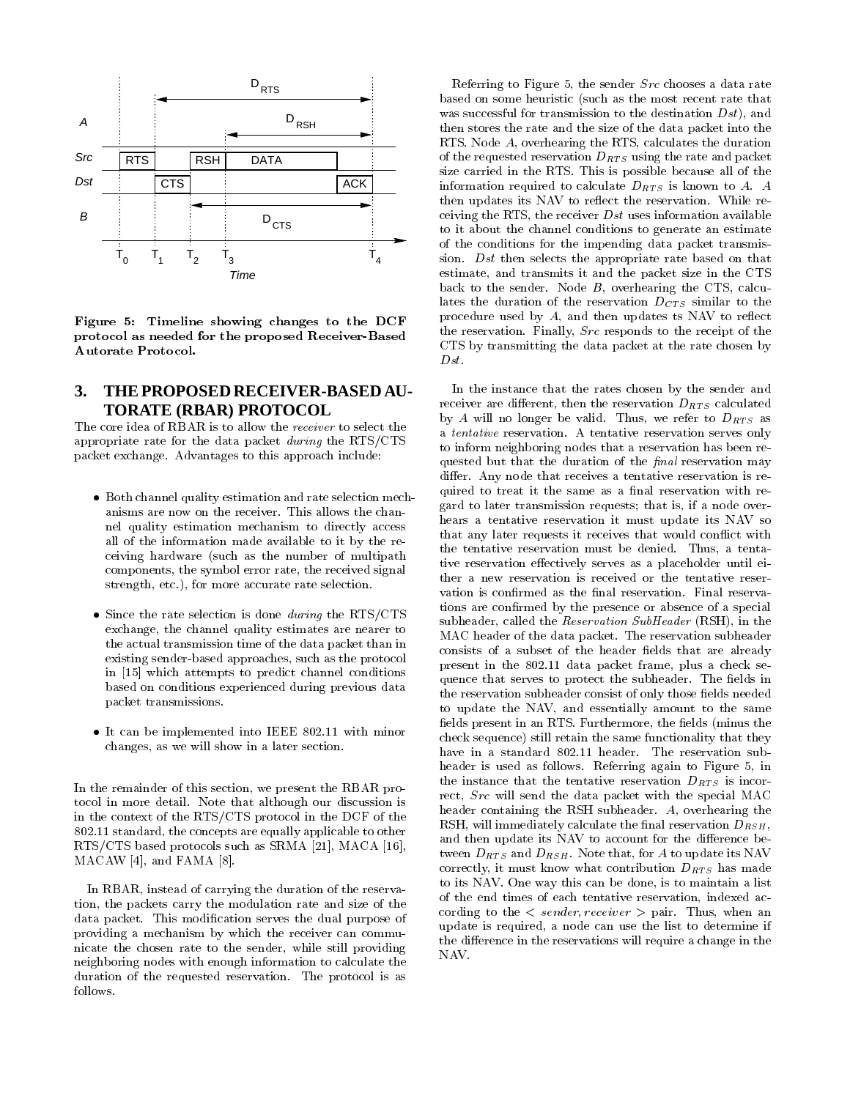

Figure 5: Timeline showing changes to the DCF protocol as needed for the proposed Receiver-Based Autorate Protocol.

# **3. THE PROPOSED RECEIVER-BASED AU-TORATE (RBAR) PROTOCOL**

The core idea of RBAR is to allow the receiver to select the appropriate rate for the data packet during the RTS/CTS packet exchange. Advantages to this approach include:

- Both channel quality estimation and rate selection mech anisms are now on the receiver. This allows the chan nel quality estimation mechanism to directly access all of the information made available to it by the receiving hardware (such as the number of multipath components, the symbol error rate, the received signal strength, etc.), for more accurate rate selection.
- Since the rate selection is done *during* the RTS/CTS exchange, the channel quality estimates are nearer to the actual transmission time of the data packet than in existing sender-based approaches, such as the protocol in [15] which attempts to predict channel conditions based on conditions experienced during previous data packet transmissions.
- It can be implemented into IEEE 802.11 with minor changes, as we will show in a later section.

In the remainder of this section, we present the RBAR protocol in more detail. Note that although our discussion is in the context of the RTS/CTS protocol in the DCF of the 802.11 standard, the concepts are equally applicable to other RTS/CTS based protocols such as SRMA [21], MACA [16], MACAW [4], and FAMA [8].

In RBAR, instead of carrying the duration of the reserva tion, the packets carry the modulation rate and size of the data packet. This modication serves the dual purpose of providing a mechanism by which the receiver can commu nicate the chosen rate to the sender, while still providing  $NAV$ . neighboring nodes with enough information to calculate the duration of the requested reservation. The protocol is as follows.

Referring to Figure 5, the sender Src chooses a data rate based on some heuristic (such as the most recent rate that was successful for transmission to the destination  $Dst$ , and then stores the rate and the size of the data packet into the RTS. Node A, overhearing the RTS, calculates the duration of the requested reservation  $D_{RTS}$  using the rate and packet size carried in the RTS. This is possible because all of the information required to calculate  $D_{RTS}$  is known to A. A then updates its NAV to reflect the reservation. While receiving the RTS, the receiver  $Dist$  uses information available to it about the channel conditions to generate an estimate of the conditions for the impending data packet transmission. Dst then selects the appropriate rate based on that estimate, and transmits it and the packet size in the CTS back to the sender. Node B, overhearing the CTS, calculates the duration of the reservation  $D_{CTS}$  similar to the procedure used by  $A$ , and then updates ts NAV to reflect the reservation. Finally, Src responds to the receipt of the CTS by transmitting the data packet at the rate chosen by Dst.

In the instance that the rates chosen by the sender and receiver are different, then the reservation  $D_{RTS}$  calculated by  $A$  will no longer be valid. Thus, we refer to  $D_{RTS}$  as a tentative reservation. A tentative reservation serves only to inform neighboring nodes that a reservation has been requested but that the duration of the *final* reservation may differ. Any node that receives a tentative reservation is required to treat it the same as a final reservation with regard to later transmission requests; that is, if a node overhears a tentative reservation it must update its NAV so that any later requests it receives that would con
ict with the tentative reservation must be denied. Thus, a tentative reservation effectively serves as a placeholder until either a new reservation is received or the tentative reser vation is confirmed as the final reservation. Final reservations are conrmed by the presence or absence of a special subheader, called the *Reservation SubHeader* (RSH), in the MAC header of the data packet. The reservation subheader consists of a subset of the header fields that are already present in the 802.11 data packet frame, plus a check se quence that serves to protect the subheader. The fields in the reservation subheader consist of only those fields needed to update the NAV, and essentially amount to the same fields present in an RTS. Furthermore, the fields (minus the check sequence) still retain the same functionality that they have in a standard 802.11 header. The reservation subheader is used as follows. Referring again to Figure 5, in the instance that the tentative reservation  $D_{RTS}$  is incorrect, Src will send the data packet with the special MAC header containing the RSH subheader. A, overhearing the RSH, will immediately calculate the final reservation  $D_{RSH}$ , and then update its NAV to account for the difference between  $D_{RTS}$  and  $D_{RSH}$ . Note that, for A to update its NAV correctly, it must know what contribution  $D_{RTS}$  has made to its NAV. One way this can be done, is to maintain a list of the end times of each tentative reservation, indexed according to the  $\langle$  sender, receiver  $\rangle$  pair. Thus, when an update is required, a node can use the list to determine if the difference in the reservations will require a change in the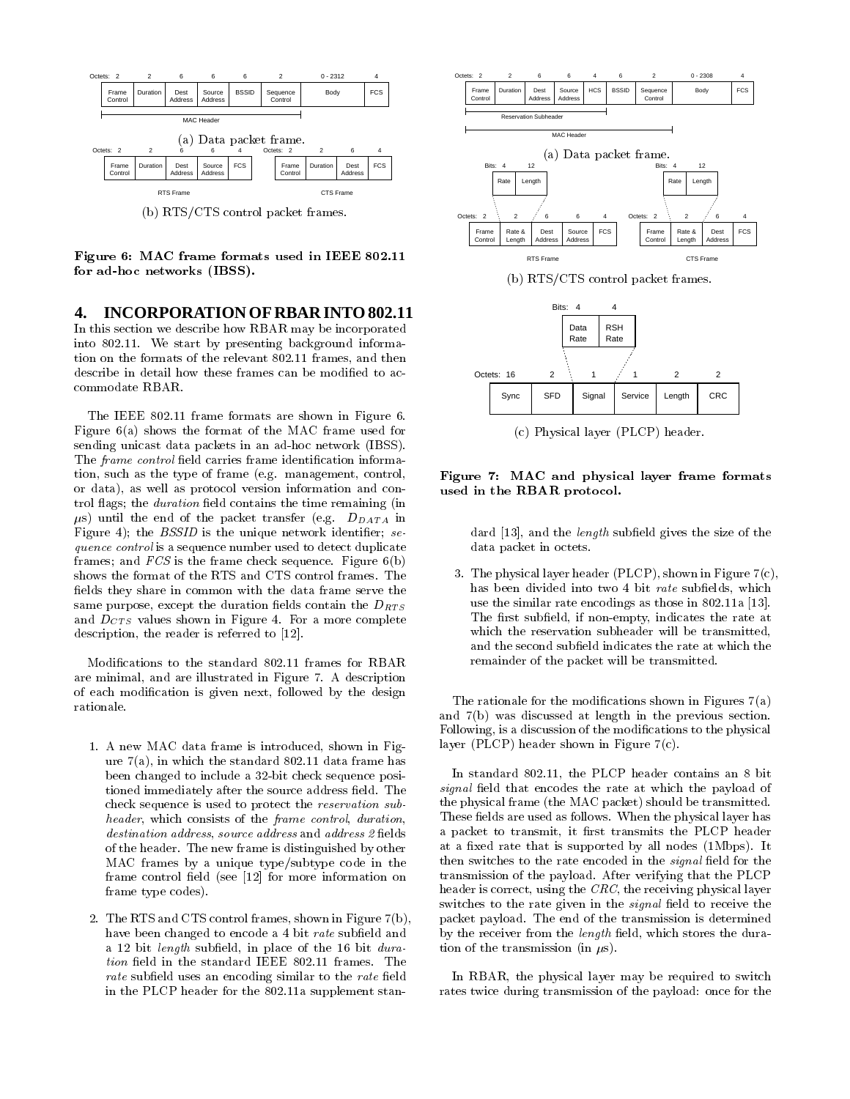

(b) RTS/CTS control packet frames.

Figure 6: MAC frame formats used in IEEE 802.11 for ad-hoc networks (IBSS).

## **4. INCORPORATION OF RBAR INTO 802.11**

In this section we describe how RBAR may be incorporated into 802.11. We start by presenting background informa tion on the formats of the relevant 802.11 frames, and then describe in detail how these frames can be modified to accommodate RBAR.

The IEEE 802.11 frame formats are shown in Figure 6. Figure 6(a) shows the format of the MAC frame used for sending unicast data packets in an ad-hoc network (IBSS). The *frame control* field carries frame identification information, such as the type of frame (e.g. management, control, or data), as well as protocol version information and con trol flags; the *duration* field contains the time remaining (in  $\mu$ s) until the end of the packet transfer (e.g.  $D_{DATA}$  in Figure 4); the  $BSSID$  is the unique network identifier; sequence control is a sequence number used to detect duplicate frames; and  $FCS$  is the frame check sequence. Figure  $6(b)$ shows the format of the RTS and CTS control frames. The fields they share in common with the data frame serve the same purpose, except the duration fields contain the  $D_{RTS}$ and  $D_{CTS}$  values shown in Figure 4. For a more complete description, the reader is referred to [12].

Modications to the standard 802.11 frames for RBAR are minimal, and are illustrated in Figure 7. A description of each modication is given next, followed by the design rationale.

- 1. A new MAC data frame is introduced, shown in Figure  $7(a)$ , in which the standard 802.11 data frame has been changed to include a 32-bit check sequence positioned immediately after the source address field. The check sequence is used to protect the reservation subheader, which consists of the *frame control*, *duration*, destination address, source address and address 2 fields of the header. The new frame is distinguished by other MAC frames by a unique type/subtype code in the frame control field (see  $[12]$  for more information on frame type codes).
- 2. The RTS and CTS control frames, shown in Figure 7(b), have been changed to encode a 4 bit rate subfield and a 12 bit *length* subfield, in place of the 16 bit  $durab$  $tion$  field in the standard IEEE 802.11 frames. The rate subfield uses an encoding similar to the rate field in the PLCP header for the 802.11a supplement stan-





(c) Physical layer (PLCP) header.

Figure 7: MAC and physical layer frame formats used in the RBAR protocol.

dard  $[13]$ , and the *length* subfield gives the size of the data packet in octets.

3. The physical layer header (PLCP), shown in Figure 7(c), has been divided into two 4 bit rate subfields, which use the similar rate encodings as those in 802.11a [13]. The first subfield, if non-empty, indicates the rate at which the reservation subheader will be transmitted, and the second subfield indicates the rate at which the remainder of the packet will be transmitted.

The rationale for the modifications shown in Figures  $7(a)$ and 7(b) was discussed at length in the previous section. Following, is a discussion of the modifications to the physical layer (PLCP) header shown in Figure 7(c).

In standard 802.11, the PLCP header contains an 8 bit signal field that encodes the rate at which the payload of the physical frame (the MAC packet) should be transmitted. These fields are used as follows. When the physical layer has a packet to transmit, it first transmits the PLCP header at a fixed rate that is supported by all nodes (1Mbps). It then switches to the rate encoded in the *signal* field for the transmission of the payload. After verifying that the PLCP header is correct, using the CRC, the receiving physical layer switches to the rate given in the *signal* field to receive the packet payload. The end of the transmission is determined by the receiver from the *length* field, which stores the duration of the transmission (in  $\mu$ s).

In RBAR, the physical layer may be required to switch rates twice during transmission of the payload: once for the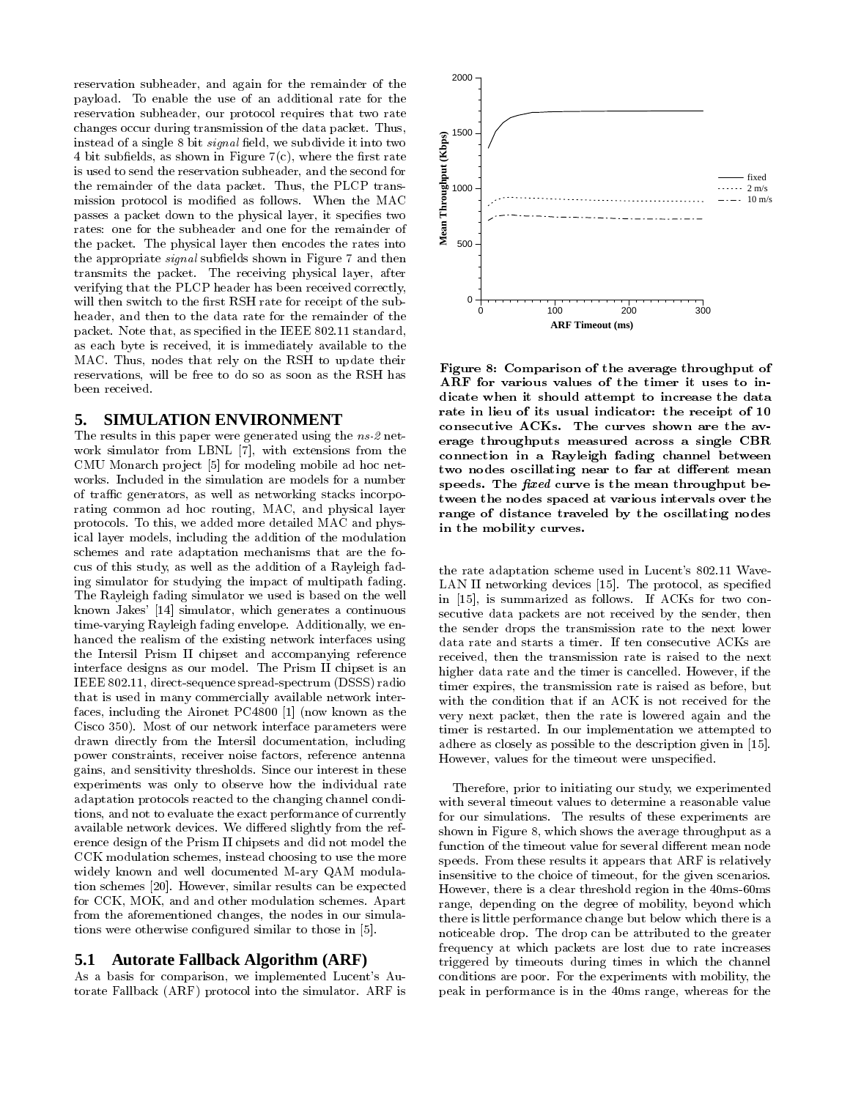reservation subheader, and again for the remainder of the payload. To enable the use of an additional rate for the reservation subheader, our protocol requires that two rate changes occur during transmission of the data packet. Thus, instead of a single 8 bit *signal* field, we subdivide it into two<br>4 bit subfields, as shown in Figure 7(c), where the first rate<br>is used to send the reservation subheader, and the second for<br>the remainder of the data pac 4 bit subfields, as shown in Figure  $7(c)$ , where the first rate is used to send the reservation subheader, and the second for the remainder of the data packet. Thus, the PLCP trans mission protocol is modied as follows. When the MAC passes a packet down to the physical layer, it specifies two rates: one for the subheader and one for the remainder of the packet. The physical layer then encodes the rates into the appropriate *signal* subfields shown in Figure 7 and then transmits the packet. The receiving physical layer, after verifying that the PLCP header has been received correctly, will then switch to the first RSH rate for receipt of the subheader, and then to the data rate for the remainder of the packet. Note that, as specied in the IEEE 802.11 standard, as each byte is received, it is immediately available to the MAC. Thus, nodes that rely on the RSH to update their reservations, will be free to do so as soon as the RSH has been received.

## **5. SIMULATION ENVIRONMENT**

The results in this paper were generated using the  $ns-2$  network simulator from LBNL [7], with extensions from the CMU Monarch project [5] for modeling mobile ad hoc networks. Included in the simulation are models for a number of traffic generators, as well as networking stacks incorporating common ad hoc routing, MAC, and physical layer protocols. To this, we added more detailed MAC and physical layer models, including the addition of the modulation schemes and rate adaptation mechanisms that are the focus of this study, as well as the addition of a Rayleigh fading simulator for studying the impact of multipath fading. The Rayleigh fading simulator we used is based on the well known Jakes' [14] simulator, which generates a continuous time-varying Rayleigh fading envelope. Additionally, we en hanced the realism of the existing network interfaces using the Intersil Prism II chipset and accompanying reference interface designs as our model. The Prism II chipset is an IEEE 802.11, direct-sequence spread-spectrum (DSSS) radio that is used in many commercially available network interfaces, including the Aironet PC4800 [1] (now known as the Cisco 350). Most of our network interface parameters were drawn directly from the Intersil documentation, including power constraints, receiver noise factors, reference antenna gains, and sensitivity thresholds. Since our interest in these experiments was only to observe how the individual rate adaptation protocols reacted to the changing channel conditions, and not to evaluate the exact performance of currently available network devices. We differed slightly from the reference design of the Prism II chipsets and did not model the CCK modulation schemes, instead choosing to use the more widely known and well documented M-ary QAM modulation schemes [20]. However, similar results can be expected for CCK, MOK, and and other modulation schemes. Apart from the aforementioned changes, the nodes in our simulations were otherwise configured similar to those in [5].

#### **5.1 Autorate Fallback Algorithm (ARF)**

As a basis for comparison, we implemented Lucent's Au torate Fallback (ARF) protocol into the simulator. ARF is



Figure 8: Comparison of the average throughput of ARF for various values of the timer it uses to indicate when it should attempt to increase the data rate in lieu of its usual indicator: the receipt of 10 consecutive ACKs. The curves shown are the av erage throughputs measured across a single CBR connection in a Rayleigh fading channel between two nodes oscillating near to far at different mean speeds. The  $fixed$  curve is the mean throughput between the nodes spaced at various intervals over the range of distance traveled by the oscillating nodes in the mobility curves.

the rate adaptation scheme used in Lucent's 802.11 Wave- LAN II networking devices [15]. The protocol, as specied in [15], is summarized as follows. If ACKs for two con secutive data packets are not received by the sender, then the sender drops the transmission rate to the next lower data rate and starts a timer. If ten consecutive ACKs are received, then the transmission rate is raised to the next higher data rate and the timer is cancelled. However, if the timer expires, the transmission rate is raised as before, but with the condition that if an ACK is not received for the very next packet, then the rate is lowered again and the timer is restarted. In our implementation we attempted to adhere as closely as possible to the description given in [15]. However, values for the timeout were unspecied.

Therefore, prior to initiating our study, we experimented with several timeout values to determine a reasonable value for our simulations. The results of these experiments are shown in Figure 8, which shows the average throughput as a function of the timeout value for several different mean node speeds. From these results it appears that ARF is relatively insensitive to the choice of timeout, for the given scenarios. However, there is a clear threshold region in the 40ms-60ms range, depending on the degree of mobility, beyond which there is little performance change but below which there is a noticeable drop. The drop can be attributed to the greater frequency at which packets are lost due to rate increases triggered by timeouts during times in which the channel conditions are poor. For the experiments with mobility, the peak in performance is in the 40ms range, whereas for the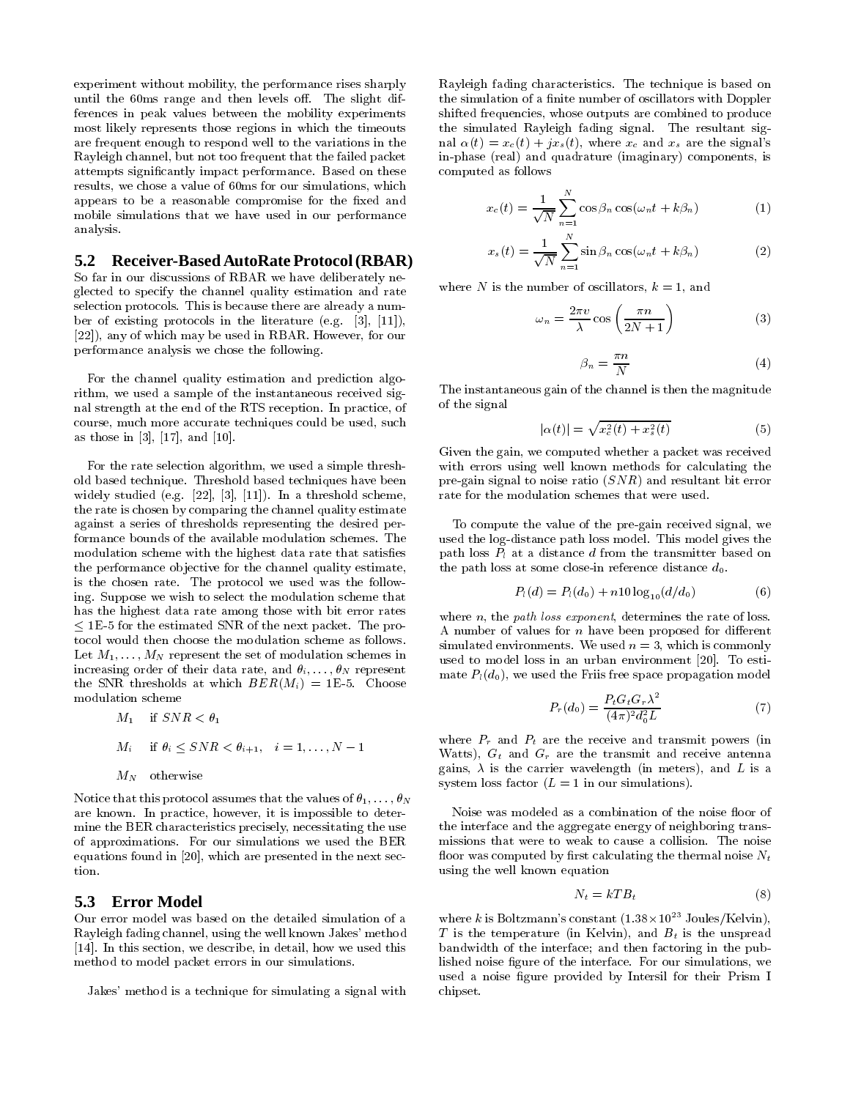experiment without mobility, the performance rises sharply until the 60ms range and then levels off. The slight differences in peak values between the mobility experiments most likely represents those regions in which the timeouts are frequent enough to respond well to the variations in the Rayleigh channel, but not too frequent that the failed packet attempts signicantly impact performance. Based on these results, we chose a value of 60ms for our simulations, which appears to be a reasonable compromise for the fixed and mobile simulations that we have used in our performance analysis.

#### **5.2 Receiver-Based AutoRate Protocol (RBAR)**

So far in our discussions of RBAR we have deliberately neglected to specify the channel quality estimation and rate selection protocols. This is because there are already a num ber of existing protocols in the literature (e.g. [3], [11]), [22]), any of which may be used in RBAR. However, for our performance analysis we chose the following.

For the channel quality estimation and prediction algorithm, we used a sample of the instantaneous received signal strength at the end of the RTS reception. In practice, of course, much more accurate techniques could be used, such as those in [3], [17], and [10].

For the rate selection algorithm, we used a simple thresh old based technique. Threshold based techniques have been widely studied (e.g. [22], [3], [11]). In a threshold scheme, the rate is chosen by comparing the channel quality estimate against a series of thresholds representing the desired performance bounds of the available modulation schemes. The modulation scheme with the highest data rate that satisfies the performance ob jective for the channel quality estimate, is the chosen rate. The protocol we used was the following. Suppose we wish to select the modulation scheme that has the highest data rate among those with bit error rates  $\leq$  1E-5 for the estimated SNR of the next packet. The protocol would then choose the modulation scheme as follows. increasing order of their data rate, and  $\theta_i, \ldots, \theta_N$  represent the SNR thresholds at which  $BER(M_i) = 1E-5$ . Choose modulation scheme

$$
M_1 \quad \text{ if } SNR < \theta_1
$$

$$
M_i \quad \text{if } \theta_i \leq SNR < \theta_{i+1}, \quad i = 1, \dots, N-1
$$

$$
M_N \quad \hbox{otherwise}
$$

Notice that this protocol assumes that the values of  $\theta_1, \ldots, \theta_N$ are known. In practice, however, it is impossible to deter mine the BER characteristics precisely, necessitating the use of approximations. For our simulations we used the BER equations found in [20], which are presented in the next sec-

#### **5.3 Error Model**

Our error model was based on the detailed simulation of a Rayleigh fading channel, using the well known Jakes' method [14]. In this section, we describe, in detail, how we used this method to model packet errors in our simulations.

Jakes' method is a technique for simulating a signal with

Rayleigh fading characteristics. The technique is based on the simulation of a finite number of oscillators with Doppler shifted frequencies, whose outputs are combined to produce the simulated Rayleigh fading signal. The resultant signal  $\alpha(t) = x_c(t) + jx_s(t)$ , where  $x_c$  and  $x_s$  are the signal's in-phase (real) and quadrature (imaginary) components, is computed as follows

$$
x_c(t) = \frac{1}{\sqrt{N}} \sum_{n=1}^{N} \cos \beta_n \cos(\omega_n t + k \beta_n)
$$
 (1)

$$
x_s(t) = \frac{1}{\sqrt{N}} \sum_{n=1}^{N} \sin \beta_n \cos(\omega_n t + k \beta_n)
$$
 (2)

where N is the number of oscillators,  $k = 1$ , and

$$
\omega_n = \frac{2\pi v}{\lambda} \cos\left(\frac{\pi n}{2N+1}\right) \tag{3}
$$

$$
\beta_n = \frac{\pi n}{N} \tag{4}
$$

The instantaneous gain of the channel is then the magnitude of the signal

$$
|\alpha(t)| = \sqrt{x_c^2(t) + x_s^2(t)}\tag{5}
$$

Given the gain, we computed whether a packet was received with errors using well known methods for calculating the pre-gain signal to noise ratio (SNR) and resultant bit error

To compute the value of the pre-gain received signal, we used the log-distance path loss model. This model gives the path loss  $P_l$  at a distance d from the transmitter based on the path loss at some close-in reference distance  $d_0$ .

$$
P_l(d) = P_l(d_0) + n10 \log_{10}(d/d_0) \tag{6}
$$

Let  $M_1, \ldots, M_N$  represent the set of modulation schemes in used to model loss in an urban environment [20]. To estiwhere *n*, the *path loss exponent*, determines the rate of loss. A number of values for  $n$  have been proposed for different simulated environments. We used  $n = 3$ , which is commonly used to model loss in an urban environment [20]. To estimate the model loss in an urban environment [20]. To e mate  $P_l(d_0)$ , we used the Friis free space propagation model

$$
P_r(d_0) = \frac{P_t G_t G_r \lambda^2}{(4\pi)^2 d_0^2 L} \tag{7}
$$

where  $P_r$  and  $P_t$  are the receive and transmit powers (in Watts),  $G_t$  and  $G_r$  are the transmit and receive antenna gains,  $\lambda$  is the carrier wavelength (in meters), and L is a system loss factor  $(L = 1$  in our simulations).

Noise was modeled as a combination of the noise floor of the interface and the aggregate energy of neighboring trans missions that were to weak to cause a collision. The noise floor was computed by first calculating the thermal noise  $N_t$ using the well known equation

$$
N_t = kT B_t \tag{8}
$$

where k is Boltzmann's constant  $(1.38\times10^{23}~{\rm Joules/Kelvin}),$ T is the temperature (in Kelvin), and  $B_t$  is the unspread bandwidth of the interface; and then factoring in the published noise figure of the interface. For our simulations, we used a noise figure provided by Intersil for their Prism I chipset.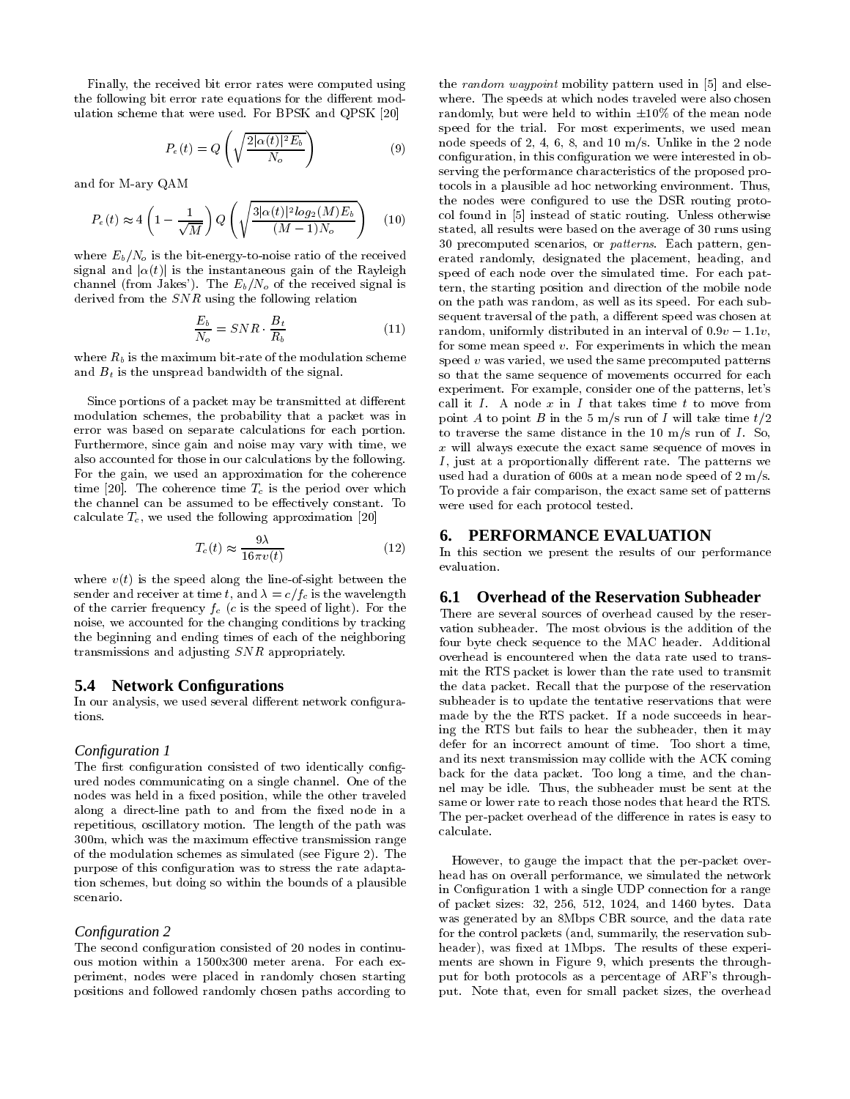Finally, the received bit error rates were computed using the following bit error rate equations for the different modulation scheme that were used. For BPSK and QPSK [20]

$$
P_e(t) = Q\left(\sqrt{\frac{2|\alpha(t)|^2 E_b}{N_o}}\right) \tag{9}
$$

and for M-ary QAM

$$
P_e(t) \approx 4\left(1 - \frac{1}{\sqrt{M}}\right) Q\left(\sqrt{\frac{3|\alpha(t)|^2 log_2(M) E_b}{(M-1)N_o}}\right) \quad (10)
$$

where  $E_b/N_o$  is the bit-energy-to-noise ratio of the received signal and  $|\alpha(t)|$  is the instantaneous gain of the Rayleigh channel (from Jakes'). The  $E_b/N_o$  of the received signal is derived from the  $SNR$  using the following relation

$$
\frac{E_b}{N_o} = SNR \cdot \frac{B_t}{R_b} \tag{11}
$$

where  $R_b$  is the maximum bit-rate of the modulation scheme and  $B_t$  is the unspread bandwidth of the signal.

Since portions of a packet may be transmitted at different modulation schemes, the probability that a packet was in error was based on separate calculations for each portion. Furthermore, since gain and noise may vary with time, we also accounted for those in our calculations by the following. For the gain, we used an approximation for the coherence time [20]. The coherence time  $T_c$  is the period over which the channel can be assumed to be effectively constant. To calculate  $T_c$ , we used the following approximation [20]

$$
T_c(t) \approx \frac{9\lambda}{16\pi v(t)}\tag{12}
$$

where  $v(t)$  is the speed along the line-of-sight between the sender and receiver at time t, and  $\lambda = c/f_c$  is the wavelength of the carrier frequency  $f_c$  (c is the speed of light). For the noise, we accounted for the changing conditions by tracking the beginning and ending times of each of the neighboring transmissions and adjusting SNR appropriately.

## **5.4 Network Configurations**

In our analysis, we used several different network configurations.

#### *Configuration 1*

The first configuration consisted of two identically configured nodes communicating on a single channel. One of the nodes was held in a fixed position, while the other traveled along a direct-line path to and from the fixed node in a repetitious, oscillatory motion. The length of the path was 300m, which was the maximum effective transmission range of the modulation schemes as simulated (see Figure 2). The purpose of this configuration was to stress the rate adaptation schemes, but doing so within the bounds of a plausible scenario.

#### *Configuration 2*

The second configuration consisted of 20 nodes in continuous motion within a 1500x300 meter arena. For each ex periment, nodes were placed in randomly chosen starting positions and followed randomly chosen paths according to

 $\zeta^{\prime\prime}$  configuration, in this configuration we were interested in ob- $\frac{1}{2}$  stated, all results were based on the average of 30 runs using the random waypoint mobility pattern used in [5] and elsewhere. The speeds at which nodes traveled were also chosen randomly, but were held to within  $\pm 10\%$  of the mean node speed for the trial. For most experiments, we used mean node speeds of 2, 4, 6, 8, and 10 m/s. Unlike in the 2 node serving the performance characteristics of the proposed protocols in a plausible ad hoc networking environment. Thus, the nodes were configured to use the DSR routing protocol found in [5] instead of static routing. Unless otherwise 30 precomputed scenarios, or *patterns*. Each pattern, generated randomly, designated the placement, heading, and speed of each node over the simulated time. For each pattern, the starting position and direction of the mobile node on the path was random, as well as its speed. For each subsequent traversal of the path, a different speed was chosen at random, uniformly distributed in an interval of  $0.9v - 1.1v$ , for some mean speed  $v$ . For experiments in which the mean speed  $v$  was varied, we used the same precomputed patterns so that the same sequence of movements occurred for each experiment. For example, consider one of the patterns, let's call it  $I$ . A node  $x$  in  $I$  that takes time  $t$  to move from point A to point B in the 5 m/s run of I will take time  $t/2$ to traverse the same distance in the 10 m/s run of  $I$ . So, x will always execute the exact same sequence of moves in  $I$ , just at a proportionally different rate. The patterns we used had a duration of 600s at a mean node speed of 2 m/s. To provide a fair comparison, the exact same set of patterns were used for each protocol tested.

#### **6. PERFORMANCE EVALUATION**

 $(12)$  in this section we present the results of our performance evaluation.

## **6.1 Overhead of the Reservation Subheader**

There are several sources of overhead caused by the reser vation subheader. The most obvious is the addition of the four byte check sequence to the MAC header. Additional overhead is encountered when the data rate used to trans mit the RTS packet is lower than the rate used to transmit the data packet. Recall that the purpose of the reservation subheader is to update the tentative reservations that were made by the the RTS packet. If a node succeeds in hearing the RTS but fails to hear the subheader, then it may defer for an incorrect amount of time. Too short a time, and its next transmission may collide with the ACK coming back for the data packet. Too long a time, and the channel may be idle. Thus, the subheader must be sent at the same or lower rate to reach those nodes that heard the RTS. The per-packet overhead of the difference in rates is easy to calculate.

However, to gauge the impact that the per-packet over head has on overall performance, we simulated the network in Conguration 1 with a single UDP connection for a range of packet sizes: 32, 256, 512, 1024, and 1460 bytes. Data was generated by an 8Mbps CBR source, and the data rate for the control packets (and, summarily, the reservation subheader), was fixed at 1Mbps. The results of these experiments are shown in Figure 9, which presents the throughput for both protocols as a percentage of ARF's throughput. Note that, even for small packet sizes, the overhead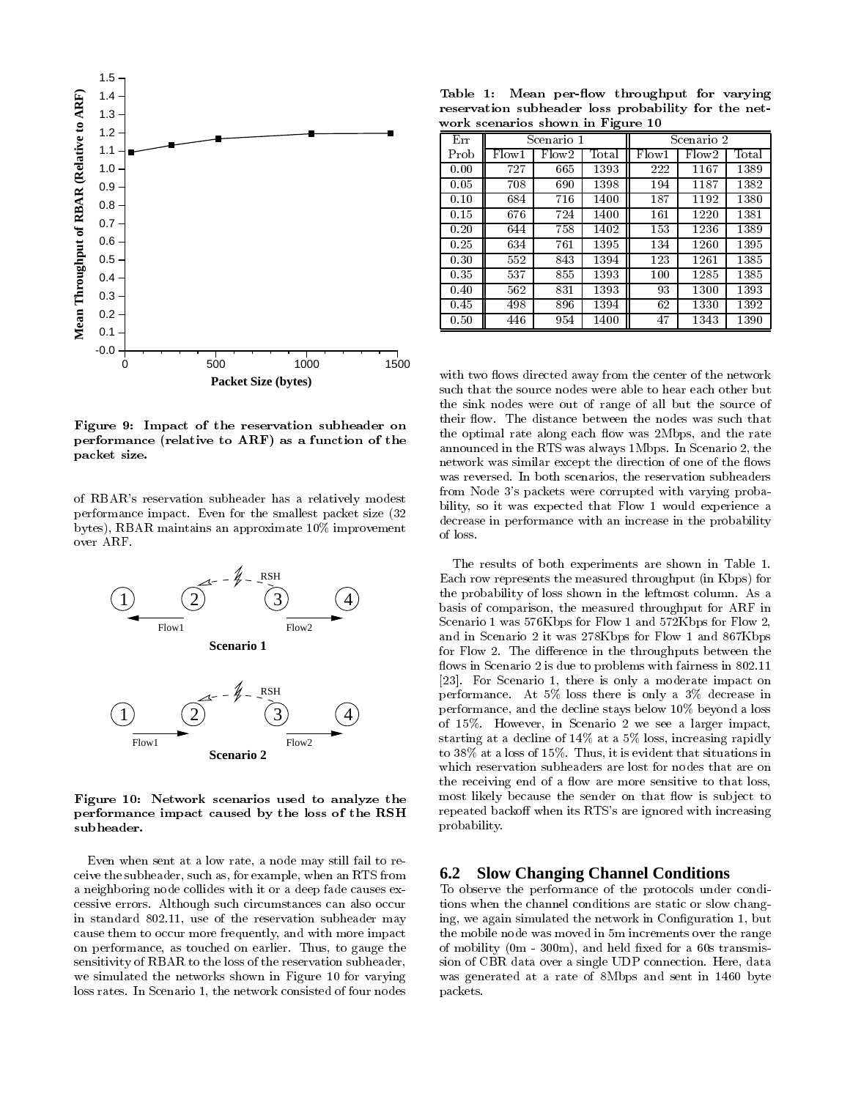

Figure 9: Impact of the reservation subheader on performance (relative to ARF) as a function of the packet size.

of RBAR's reservation subheader has a relatively modest performance impact. Even for the smallest packet size (32 bytes), RBAR maintains an approximate 10% improvement over ARF.



Figure 10: Network scenarios used to analyze the performance impact caused by the loss of the RSH subheader.

Even when sent at a low rate, a node may still fail to receive the subheader, such as, for example, when an RTS from a neighboring node collides with it or a deep fade causes ex cessive errors. Although such circumstances can also occur in standard 802.11, use of the reservation subheader may cause them to occur more frequently, and with more impact on performance, as touched on earlier. Thus, to gauge the sensitivity of RBAR to the loss of the reservation subheader, we simulated the networks shown in Figure 10 for varying loss rates. In Scenario 1, the network consisted of four nodes

Table 1: Mean per-flow throughput for varying reservation subheader loss probability for the net work scenarios shown in Figure 10

|      |            |       | $\tilde{\phantom{a}}$ |            |                   |       |
|------|------------|-------|-----------------------|------------|-------------------|-------|
| Err  | Scenario 1 |       |                       | Scenario 2 |                   |       |
| Prob | Flow 1     | Flow2 | Total                 | Flow1      | Flow <sub>2</sub> | Total |
| 0.00 | 727        | 665   | 1393                  | 222        | 1167              | 1389  |
| 0.05 | 708        | 690   | 1398                  | 194        | 1187              | 1382  |
| 0.10 | 684        | 716   | 1400                  | 187        | 1192              | 1380  |
| 0.15 | 676        | 724   | 1400                  | 161        | 1220              | 1381  |
| 0.20 | 644        | 758   | 1402                  | 153        | 1236              | 1389  |
| 0.25 | 634        | 761   | 1395                  | 134        | 1260              | 1395  |
| 0.30 | 552        | 843   | 1394                  | 123        | 1261              | 1385  |
| 0.35 | 537        | 855   | 1393                  | 100        | 1285              | 1385  |
| 0.40 | 562        | 831   | 1393                  | 93         | 1300              | 1393  |
| 0.45 | 498        | 896   | 1394                  | 62         | 1330              | 1392  |
| 0.50 | 446        | 954   | 1400                  | 47         | 1343              | 1390  |

with two flows directed away from the center of the network such that the source nodes were able to hear each other but the sink nodes were out of range of all but the source of their flow. The distance between the nodes was such that the optimal rate along each flow was 2Mbps, and the rate announced in the RTS was always 1Mbps. In Scenario 2, the network was similar except the direction of one of the flows was reversed. In both scenarios, the reservation subheaders from Node 3's packets were corrupted with varying probability, so it was expected that Flow 1 would experience a decrease in performance with an increase in the probability of loss.

The results of both experiments are shown in Table 1. Each row represents the measured throughput (in Kbps) for the probability of loss shown in the leftmost column. As a basis of comparison, the measured throughput for ARF in Scenario 1 was 576Kbps for Flow 1 and 572Kbps for Flow 2, and in Scenario 2 it was 278Kbps for Flow 1 and 867Kbps for Flow 2. The difference in the throughputs between the flows in Scenario 2 is due to problems with fairness in 802.11 [23]. For Scenario 1, there is only a moderate impact on performance. At 5% loss there is only a 3% decrease in performance, and the decline stays below 10% beyond a loss of 15%. However, in Scenario 2 we see a larger impact, starting at a decline of 14% at a 5% loss, increasing rapidly to 38% at a loss of 15%. Thus, it is evident that situations in which reservation subheaders are lost for nodes that are on the receiving end of a flow are more sensitive to that loss, most likely because the sender on that flow is subject to repeated backoff when its RTS's are ignored with increasing probability.

## **6.2 Slow Changing Channel Conditions**

To observe the performance of the protocols under conditions when the channel conditions are static or slow changing, we again simulated the network in Configuration 1, but the mobile node was moved in 5m increments over the range of mobility  $(0m - 300m)$ , and held fixed for a 60s transmission of CBR data over a single UDP connection. Here, data was generated at a rate of 8Mbps and sent in 1460 byte packets.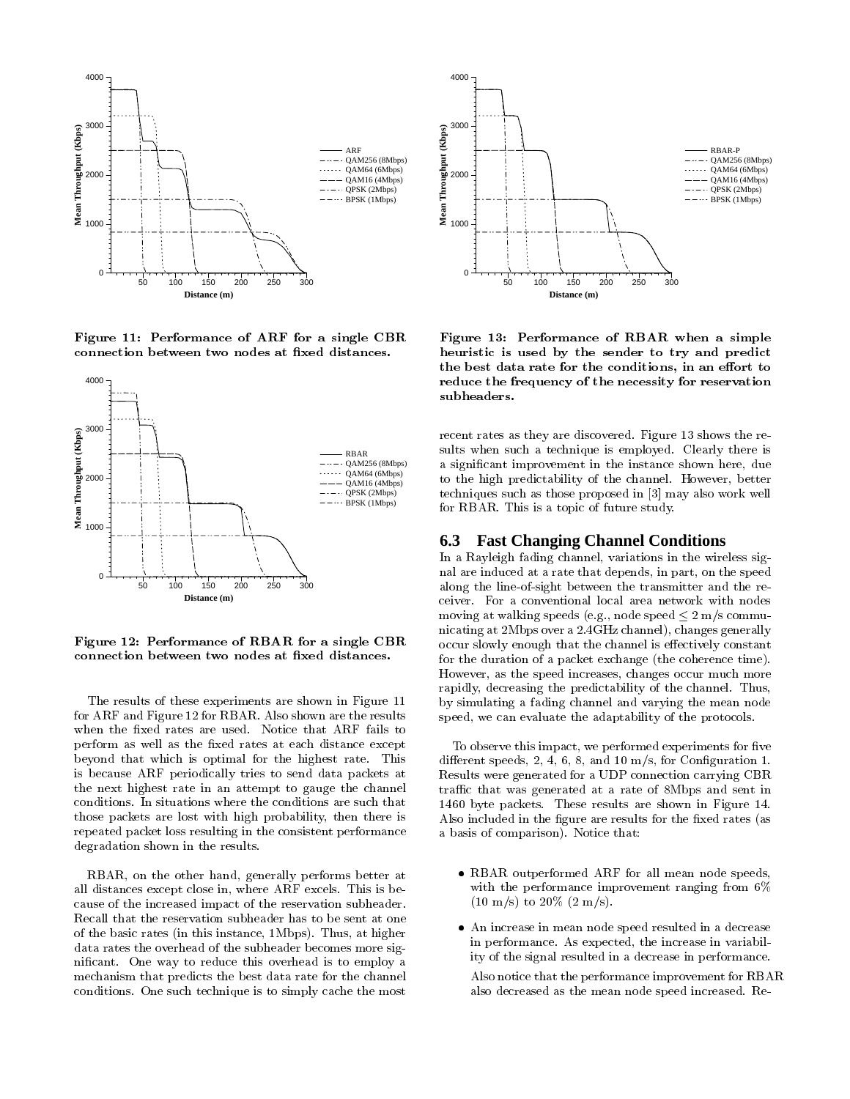

Figure 11: Performance of ARF for a single CBR connection between two nodes at fixed distances.



Figure 12: Performance of RBAR for a single CBR connection between two nodes at fixed distances.

The results of these experiments are shown in Figure 11 for ARF and Figure 12 for RBAR. Also shown are the results when the fixed rates are used. Notice that ARF fails to perform as well as the fixed rates at each distance except beyond that which is optimal for the highest rate. This is because ARF periodically tries to send data packets at the next highest rate in an attempt to gauge the channel conditions. In situations where the conditions are such that those packets are lost with high probability, then there is repeated packet loss resulting in the consistent performance degradation shown in the results.

RBAR, on the other hand, generally performs better at all distances except close in, where ARF excels. This is because of the increased impact of the reservation subheader. Recall that the reservation subheader has to be sent at one of the basic rates (in this instance, 1Mbps). Thus, at higher data rates the overhead of the subheader becomes more signicant. One way to reduce this overhead is to employ a mechanism that predicts the best data rate for the channel conditions. One such technique is to simply cache the most



Figure 13: Performance of RBAR when a simple heuristic is used by the sender to try and predict the best data rate for the conditions, in an effort to reduce the frequency of the necessity for reservation subheaders.

recent rates as they are discovered. Figure 13 shows the results when such a technique is employed. Clearly there is a signicant improvement in the instance shown here, due to the high predictability of the channel. However, better techniques such as those proposed in [3] may also work well for RBAR. This is a topic of future study.

## **6.3 Fast Changing Channel Conditions**

In a Rayleigh fading channel, variations in the wireless signal are induced at a rate that depends, in part, on the speed along the line-of-sight between the transmitter and the re ceiver. For a conventional local area network with nodes moving at walking speeds (e.g., node speed  $\leq 2$  m/s communicating at 2Mbps over a 2.4GHz channel), changes generally occur slowly enough that the channel is effectively constant for the duration of a packet exchange (the coherence time). However, as the speed increases, changes occur much more rapidly, decreasing the predictability of the channel. Thus, by simulating a fading channel and varying the mean node speed, we can evaluate the adaptability of the protocols.

To observe this impact, we performed experiments for five different speeds,  $2, 4, 6, 8,$  and  $10 \text{ m/s}$ , for Configuration 1. Results were generated for a UDP connection carrying CBR traffic that was generated at a rate of 8Mbps and sent in 1460 byte packets. These results are shown in Figure 14. Also included in the figure are results for the fixed rates (as a basis of comparison). Notice that:

- RBAR outperformed ARF for all mean node speeds, with the performance improvement ranging from 6%  $(10 \text{ m/s})$  to  $20\%$   $(2 \text{ m/s})$ .
- An increase in mean node speed resulted in a decrease in performance. As expected, the increase in variability of the signal resulted in a decrease in performance.

Also notice that the performance improvement for RBAR also decreased as the mean node speed increased. Re-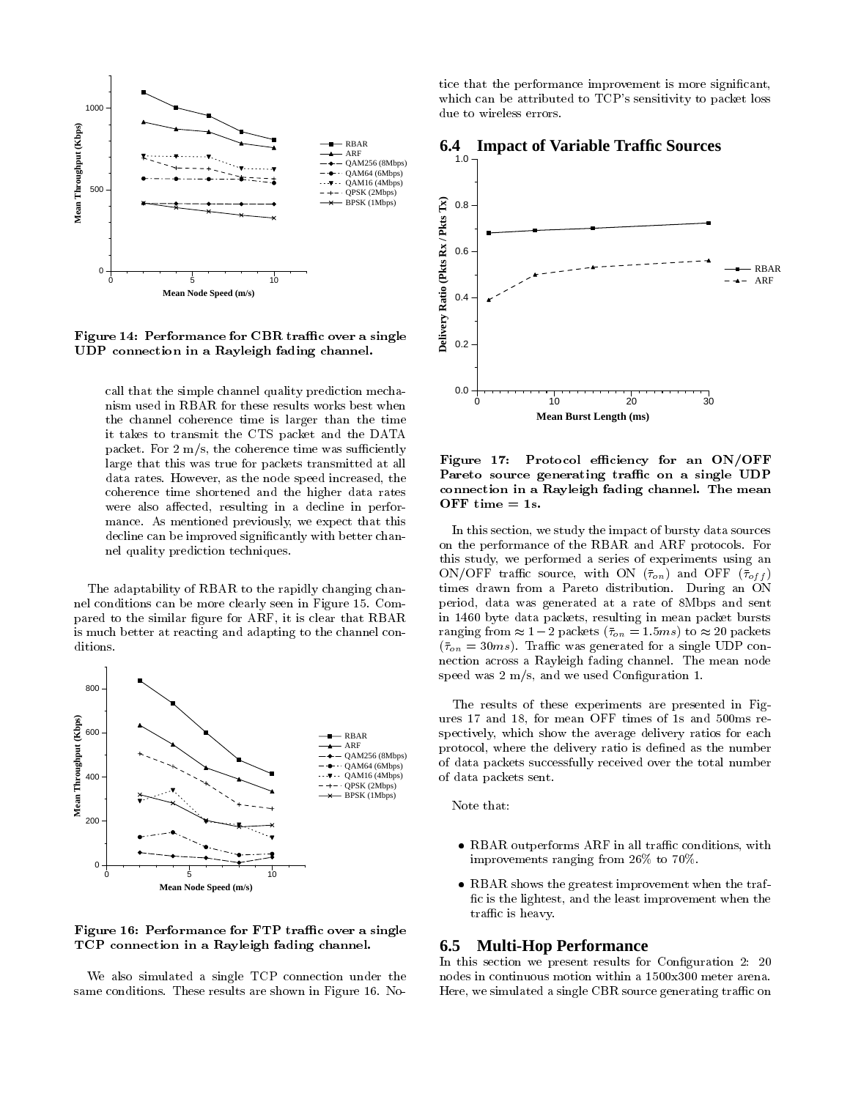

UDP connection in a Rayleigh fading channel.

call that the simple channel quality prediction mechanism used in RBAR for these results works best when the channel coherence time is larger than the time it takes to transmit the CTS packet and the DATA packet. For  $2 \text{ m/s}$ , the coherence time was sufficiently large that this was true for packets transmitted at all data rates. However, as the node speed increased, the coherence time shortened and the higher data rates were also affected, resulting in a decline in performance. As mentioned previously, we expect that this decline can be improved significantly with better channel quality prediction techniques.

The adaptability of RBAR to the rapidly changing chan nel conditions can be more clearly seen in Figure 15. Com pared to the similar figure for ARF, it is clear that RBAR is much better at reacting and adapting to the channel con ditions.



Figure 16: Performance for FTP traffic over a single TCP connection in a Rayleigh fading channel.

We also simulated a single TCP connection under the same conditions. These results are shown in Figure 16. Notice that the performance improvement is more signicant, which can be attributed to TCP's sensitivity to packet loss due to wireless errors.

## **6.4 Impact of Variable Traffic Sources**



Figure 17: Protocol efficiency for an ON/OFF Pareto source generating traffic on a single UDP connection in a Rayleigh fading channel. The mean OFF time  $= 1$ s.

In this section, we study the impact of bursty data sources on the performance of the RBAR and ARF protocols. For this study, we performed a series of experiments using an ON/OFF traffic source, with ON  $(\bar{\tau}_{on})$  and OFF  $(\bar{\tau}_{off})$ times drawn from a Pareto distribution. During an ON period, data was generated at a rate of 8Mbps and sent in 1460 byte data packets, resulting in mean packet bursts ranging from  $\approx 1 - 2$  packets ( $\bar{\tau}_{on} = 1.5 \text{ms}$ ) to  $\approx 20$  packets  $(\bar{\tau}_{on} = 30 \text{ ms})$ . Traffic was generated for a single UDP connection across a Rayleigh fading channel. The mean node speed was  $2 \text{ m/s}$ , and we used Configuration 1.

The results of these experiments are presented in Fig ures 17 and 18, for mean OFF times of 1s and 500ms re spectively, which show the average delivery ratios for each protocol, where the delivery ratio is defined as the number of data packets successfully received over the total number of data packets sent.

Note that:

- RBAR outperforms ARF in all traffic conditions, with improvements ranging from 26% to 70%.
- RBAR shows the greatest improvement when the traf fic is the lightest, and the least improvement when the traffic is heavy.

## **6.5 Multi-Hop Performance**

In this section we present results for Configuration 2: 20 nodes in continuous motion within a 1500x300 meter arena. Here, we simulated a single CBR source generating traffic on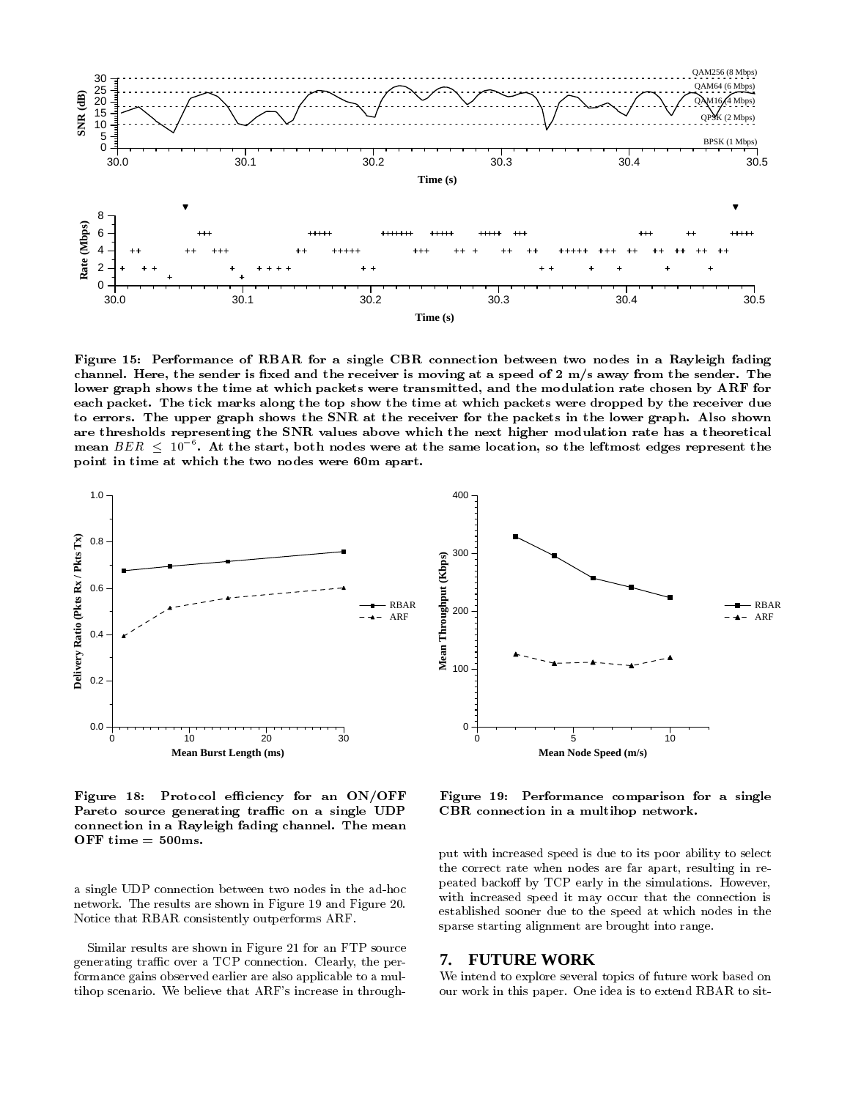

Figure 15: Performance of RBAR for a single CBR connection between two nodes in a Rayleigh fading channel. Here, the sender is fixed and the receiver is moving at a speed of  $2 \text{ m/s}$  away from the sender. The lower graph shows the time at which packets were transmitted, and the modulation rate chosen by ARF for each packet. The tick marks along the top show the time at which packets were dropped by the receiver due to errors. The upper graph shows the SNR at the receiver for the packets in the lower graph. Also shown are thresholds representing the SNR values above which the next higher modulation rate has a theoretical mean  $B E R \leq 10^{-8}$ . At the start, both nodes were at the same location, so the leftmost edges represent the point in time at which the two nodes were 60m apart.



Figure 18: Protocol efficiency for an ON/OFF Pareto source generating traffic on a single UDP connection in a Rayleigh fading channel. The mean OFF time  $= 500$ ms.

a single UDP connection between two nodes in the ad-hoc network. The results are shown in Figure 19 and Figure 20. Notice that RBAR consistently outperforms ARF.

Similar results are shown in Figure 21 for an FTP source generating traffic over a TCP connection. Clearly, the performance gains observed earlier are also applicable to a multihop scenario. We believe that ARF's increase in through-



Figure 19: Performance comparison for a single CBR connection in a multihop network.

put with increased speed is due to its poor ability to select the correct rate when nodes are far apart, resulting in repeated backoff by TCP early in the simulations. However, with increased speed it may occur that the connection is established sooner due to the speed at which nodes in the sparse starting alignment are brought into range.

# **7. FUTURE WORK**

We intend to explore several topics of future work based on our work in this paper. One idea is to extend RBAR to sit-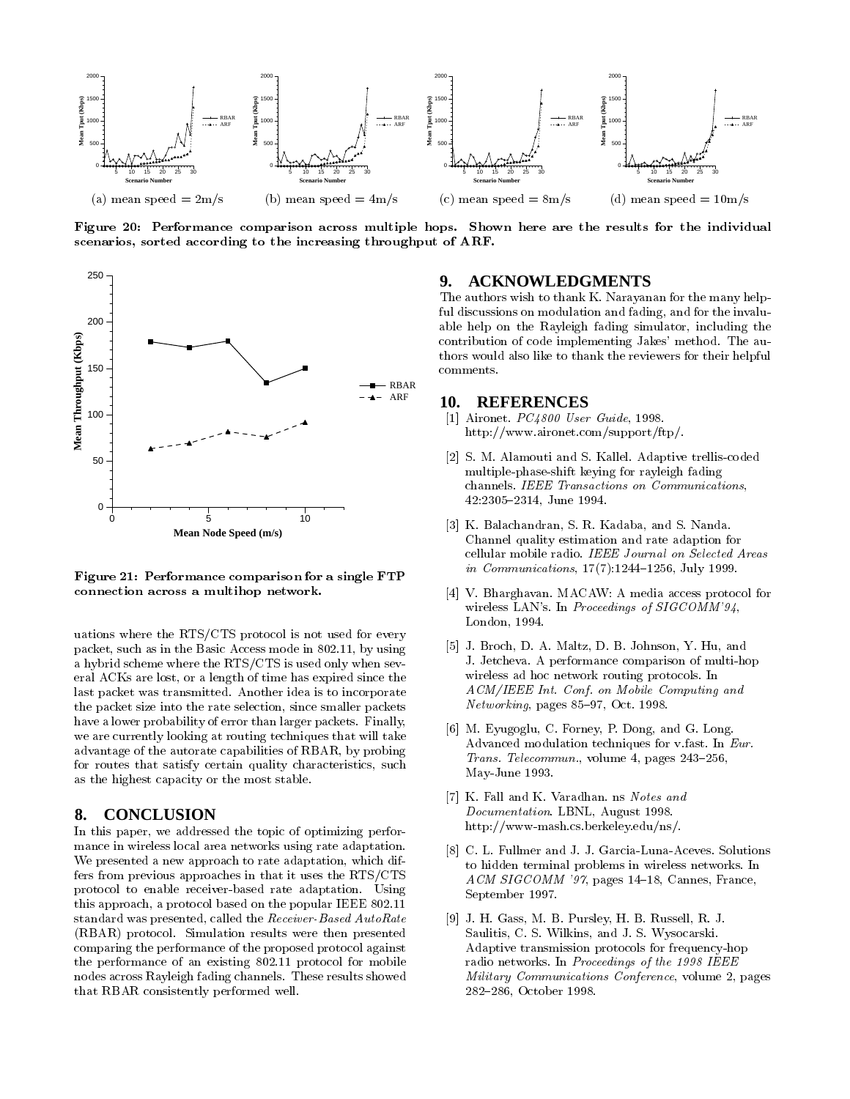

Figure 20: Performance comparison across multiple hops. Shown here are the results for the individual scenarios, sorted according to the increasing throughput of ARF.



Figure 21: Performance comparison for a single FTP connection across a multihop network.

uations where the RTS/CTS protocol is not used for every packet, such as in the Basic Access mode in 802.11, by using a hybrid scheme where the RTS/CTS is used only when sev eral ACKs are lost, or a length of time has expired since the last packet was transmitted. Another idea is to incorporate the packet size into the rate selection, since smaller packets have a lower probability of error than larger packets. Finally, we are currently looking at routing techniques that will take advantage of the autorate capabilities of RBAR, by probing for routes that satisfy certain quality characteristics, such as the highest capacity or the most stable.

## **8. CONCLUSION**

In this paper, we addressed the topic of optimizing perfor mance in wireless local area networks using rate adaptation. We presented a new approach to rate adaptation, which differs from previous approaches in that it uses the RTS/CTS protocol to enable receiver-based rate adaptation. Using this approach, a protocol based on the popular IEEE 802.11 standard was presented, called the Receiver-Based AutoRate (RBAR) protocol. Simulation results were then presented comparing the performance of the proposed protocol against the performance of an existing 802.11 protocol for mobile nodes across Rayleigh fading channels. These results showed that RBAR consistently performed well.

#### **9. ACKNOWLEDGMENTS**

The authors wish to thank K. Narayanan for the many helpful discussions on modulation and fading, and for the invaluable help on the Rayleigh fading simulator, including the contribution of code implementing Jakes' method. The au thors would also like to thank the reviewers for their helpful comments.

#### **10. REFERENCES**

- [1] Aironet. PC4800 User Guide, 1998. http://www.aironet.com/support/ftp/.
- [2] S. M. Alamouti and S. Kallel. Adaptive trellis-coded multiple-phase-shift keying for rayleigh fading channels. IEEE Transactions on Communications, 42:2305-2314, June 1994.
- [3] K. Balachandran, S. R. Kadaba, and S. Nanda. Channel quality estimation and rate adaption for cellular mobile radio. IEEE Journal on Selected Areas in  $Communications, 17(7):1244-1256, July 1999.$
- [4] V. Bharghavan. MACAW: A media access protocol for wireless LAN's. In Proceedings of  $SIGCOMM'94$ , London, 1994.
- [5] J. Broch, D. A. Maltz, D. B. Johnson, Y. Hu, and J. Jetcheva. A performance comparison of multi-hop wireless ad hoc network routing protocols. In ACM/IEEE Int. Conf. on Mobile Computing and  $Networking$ , pages 85-97, Oct. 1998.
- [6] M. Eyugoglu, C. Forney, P. Dong, and G. Long. Advanced modulation techniques for v.fast. In Eur. Trans. Telecommun., volume 4, pages 243-256, May-June 1993.
- [7] K. Fall and K. Varadhan. ns Notes and Documentation. LBNL, August 1998. http://www-mash.cs.berkeley.edu/ns/.
- [8] C. L. Fullmer and J. J. Garcia-Luna-Aceves, Solutions  $\mathcal{S}$  c. L. Fullmer and J. J. J. Garcia-Luna-Aceves. Solutions and  $\mathcal{S}$ to hidden terminal problems in wireless networks. In  $ACM SIGCOMM$  '97, pages 14-18, Cannes, France, September 1997.
- [9] J. H. Gass, M. B. Pursley, H. B. Russell, R. J. Saulitis, C. S. Wilkins, and J. S. Wysocarski. Adaptive transmission protocols for frequency-hop radio networks. In Proceedings of the 1998 IEEE Military Communications Conference, volume 2, pages 282-286, October 1998.